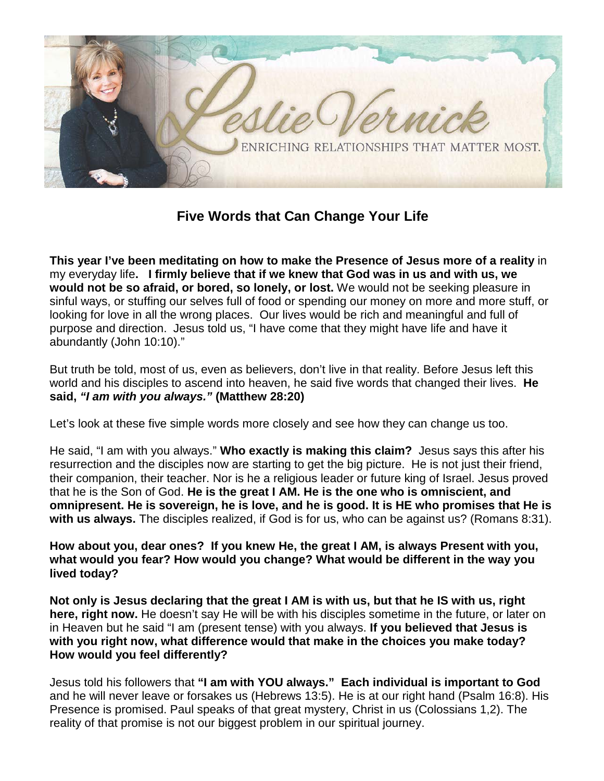

**Five Words that Can Change Your Life**

**This year I've been meditating on how to make the Presence of Jesus more of a reality** in my everyday life**. I firmly believe that if we knew that God was in us and with us, we would not be so afraid, or bored, so lonely, or lost.** We would not be seeking pleasure in sinful ways, or stuffing our selves full of food or spending our money on more and more stuff, or looking for love in all the wrong places. Our lives would be rich and meaningful and full of purpose and direction. Jesus told us, "I have come that they might have life and have it abundantly (John 10:10)."

But truth be told, most of us, even as believers, don't live in that reality. Before Jesus left this world and his disciples to ascend into heaven, he said five words that changed their lives. **He said,** *"I am with you always."* **(Matthew 28:20)**

Let's look at these five simple words more closely and see how they can change us too.

He said, "I am with you always." **Who exactly is making this claim?** Jesus says this after his resurrection and the disciples now are starting to get the big picture. He is not just their friend, their companion, their teacher. Nor is he a religious leader or future king of Israel. Jesus proved that he is the Son of God. **He is the great I AM. He is the one who is omniscient, and omnipresent. He is sovereign, he is love, and he is good. It is HE who promises that He is with us always.** The disciples realized, if God is for us, who can be against us? (Romans 8:31).

**How about you, dear ones? If you knew He, the great I AM, is always Present with you, what would you fear? How would you change? What would be different in the way you lived today?**

**Not only is Jesus declaring that the great I AM is with us, but that he IS with us, right here, right now.** He doesn't say He will be with his disciples sometime in the future, or later on in Heaven but he said "I am (present tense) with you always. **If you believed that Jesus is with you right now, what difference would that make in the choices you make today? How would you feel differently?**

Jesus told his followers that **"I am with YOU always." Each individual is important to God** and he will never leave or forsakes us (Hebrews 13:5). He is at our right hand (Psalm 16:8). His Presence is promised. Paul speaks of that great mystery, Christ in us (Colossians 1,2). The reality of that promise is not our biggest problem in our spiritual journey.